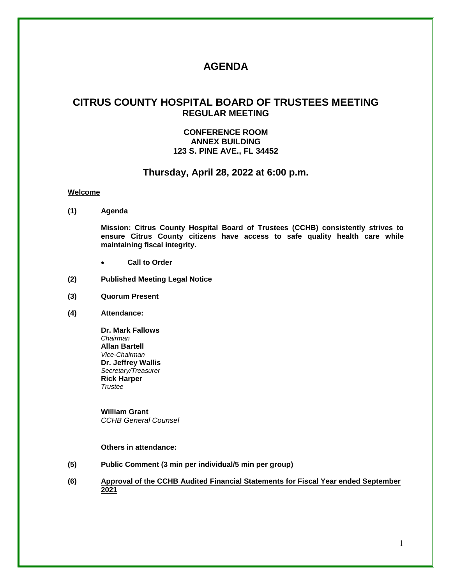# **AGENDA**

## **CITRUS COUNTY HOSPITAL BOARD OF TRUSTEES MEETING REGULAR MEETING**

## **CONFERENCE ROOM ANNEX BUILDING 123 S. PINE AVE., FL 34452**

## **Thursday, April 28, 2022 at 6:00 p.m.**

#### **Welcome**

**(1) Agenda**

**Mission: Citrus County Hospital Board of Trustees (CCHB) consistently strives to ensure Citrus County citizens have access to safe quality health care while maintaining fiscal integrity.**

- **Call to Order**
- **(2) Published Meeting Legal Notice**
- **(3) Quorum Present**
- **(4) Attendance:**

**Dr. Mark Fallows** *Chairman* **Allan Bartell** *Vice-Chairman* **Dr. Jeffrey Wallis** *Secretary/Treasurer* **Rick Harper** *Trustee*

**William Grant** *CCHB General Counsel*

#### **Others in attendance:**

- **(5) Public Comment (3 min per individual/5 min per group)**
- **(6) Approval of the CCHB Audited Financial Statements for Fiscal Year ended September 2021**